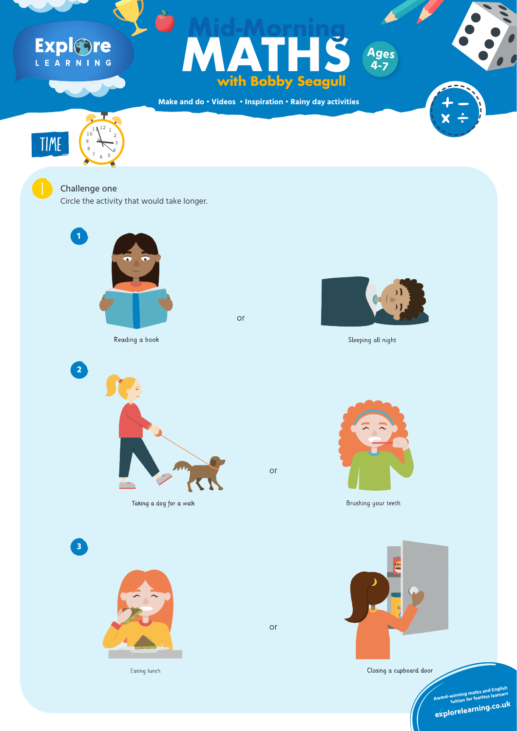**Make and do • Videos • Inspiration • Rainy day activities**

# Explore

### **Ages**<br>With Bobby Seagull<br>and do · Videos · Inspiration · Rainy day activities **with Bobby Seagull Mid-Morning Ages**

Circle the activity that would take longer.







#### Challenge one

**4-7**



Reading a book





Taking a dog for a walk





**SOL** 



or

Eating lunch





Sleeping all night

Closing a cupboard door

or

or



Brushing your teeth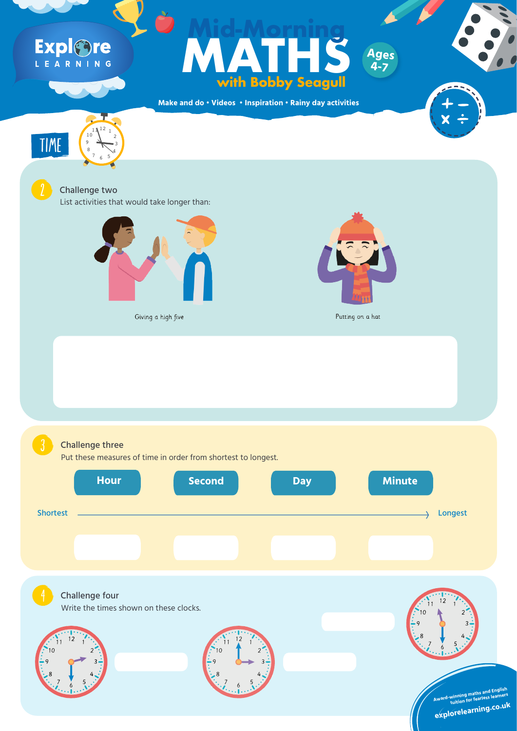**Make and do • Videos • Inspiration • Rainy day activities**





### Expl&re L E A R N I N G

## **Ages**<br>With Bobby Seagull<br>and do · Videos · Inspiration · Rainy day activities **with Bobby Seagull Mid-Morning**

List activities that would take longer than:



Giving a high five



TIME

#### **2** Challenge two

10

Write the times shown on these clocks. Challenge four







**Ages**

**4-7**

Putting on a hat



#### Challenge three

12

 $11$ <sup>12</sup> 1

6

 $7 \times 5$ 

8 4

 $9 \leftarrow 3$ 

#### Put these measures of time in order from shortest to longest.